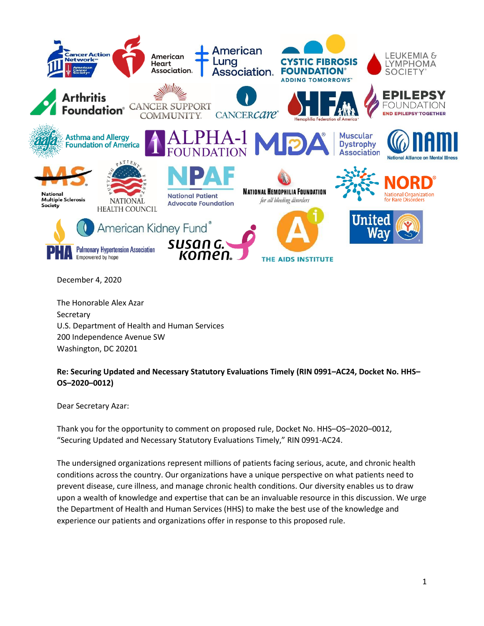

The Honorable Alex Azar **Secretary** U.S. Department of Health and Human Services 200 Independence Avenue SW Washington, DC 20201

# **Re: Securing Updated and Necessary Statutory Evaluations Timely (RIN 0991–AC24, Docket No. HHS– OS–2020–0012)**

Dear Secretary Azar:

Thank you for the opportunity to comment on proposed rule, Docket No. HHS–OS–2020–0012, "Securing Updated and Necessary Statutory Evaluations Timely," RIN 0991-AC24.

The undersigned organizations represent millions of patients facing serious, acute, and chronic health conditions across the country. Our organizations have a unique perspective on what patients need to prevent disease, cure illness, and manage chronic health conditions. Our diversity enables us to draw upon a wealth of knowledge and expertise that can be an invaluable resource in this discussion. We urge the Department of Health and Human Services (HHS) to make the best use of the knowledge and experience our patients and organizations offer in response to this proposed rule.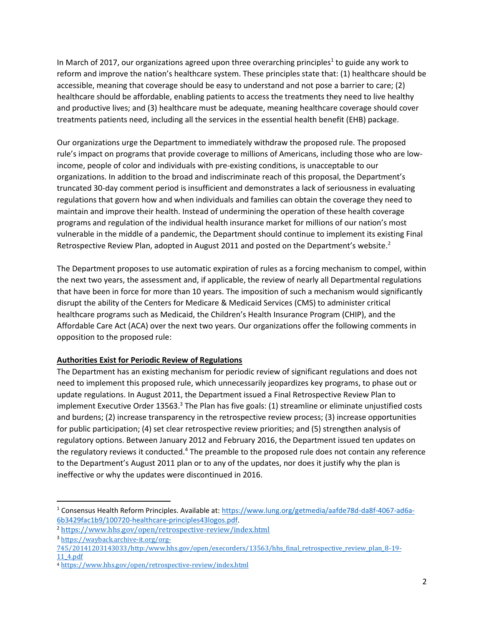In March of 2017, our organizations agreed upon three overarching principles<sup>1</sup> to guide any work to reform and improve the nation's healthcare system. These principles state that: (1) healthcare should be accessible, meaning that coverage should be easy to understand and not pose a barrier to care; (2) healthcare should be affordable, enabling patients to access the treatments they need to live healthy and productive lives; and (3) healthcare must be adequate, meaning healthcare coverage should cover treatments patients need, including all the services in the essential health benefit (EHB) package.

Our organizations urge the Department to immediately withdraw the proposed rule. The proposed rule's impact on programs that provide coverage to millions of Americans, including those who are lowincome, people of color and individuals with pre-existing conditions, is unacceptable to our organizations. In addition to the broad and indiscriminate reach of this proposal, the Department's truncated 30-day comment period is insufficient and demonstrates a lack of seriousness in evaluating regulations that govern how and when individuals and families can obtain the coverage they need to maintain and improve their health. Instead of undermining the operation of these health coverage programs and regulation of the individual health insurance market for millions of our nation's most vulnerable in the middle of a pandemic, the Department should continue to implement its existing Final Retrospective Review Plan, adopted in August 2011 and posted on the Department's website.<sup>2</sup>

The Department proposes to use automatic expiration of rules as a forcing mechanism to compel, within the next two years, the assessment and, if applicable, the review of nearly all Departmental regulations that have been in force for more than 10 years. The imposition of such a mechanism would significantly disrupt the ability of the Centers for Medicare & Medicaid Services (CMS) to administer critical healthcare programs such as Medicaid, the Children's Health Insurance Program (CHIP), and the Affordable Care Act (ACA) over the next two years. Our organizations offer the following comments in opposition to the proposed rule:

## **Authorities Exist for Periodic Review of Regulations**

The Department has an existing mechanism for periodic review of significant regulations and does not need to implement this proposed rule, which unnecessarily jeopardizes key programs, to phase out or update regulations. In August 2011, the Department issued a Final Retrospective Review Plan to implement Executive Order 13563.<sup>3</sup> The Plan has five goals: (1) streamline or eliminate unjustified costs and burdens; (2) increase transparency in the retrospective review process; (3) increase opportunities for public participation; (4) set clear retrospective review priorities; and (5) strengthen analysis of regulatory options. Between January 2012 and February 2016, the Department issued ten updates on the regulatory reviews it conducted.<sup>4</sup> The preamble to the proposed rule does not contain any reference to the Department's August 2011 plan or to any of the updates, nor does it justify why the plan is ineffective or why the updates were discontinued in 2016.

<sup>1</sup> Consensus Health Reform Principles. Available at: [https://www.lung.org/getmedia/aafde78d-da8f-4067-ad6a-](https://www.lung.org/getmedia/aafde78d-da8f-4067-ad6a-6b3429fac1b9/100720-healthcare-principles43logos.pdf)[6b3429fac1b9/100720-healthcare-principles43logos.pdf.](https://www.lung.org/getmedia/aafde78d-da8f-4067-ad6a-6b3429fac1b9/100720-healthcare-principles43logos.pdf)

<sup>2</sup> <https://www.hhs.gov/open/retrospective-review/index.html>

<sup>3</sup> [https://wayback.archive-it.org/org-](https://wayback.archive-it.org/org-745/20141203143033/http:/www.hhs.gov/open/execorders/13563/hhs_final_retrospective_review_plan_8-19-11_4.pdf)

[<sup>745/20141203143033/</sup>http:/www.hhs.gov/open/execorders/13563/hhs\\_final\\_retrospective\\_review\\_plan\\_8-19-](https://wayback.archive-it.org/org-745/20141203143033/http:/www.hhs.gov/open/execorders/13563/hhs_final_retrospective_review_plan_8-19-11_4.pdf) [11\\_4.pdf](https://wayback.archive-it.org/org-745/20141203143033/http:/www.hhs.gov/open/execorders/13563/hhs_final_retrospective_review_plan_8-19-11_4.pdf)

<sup>4</sup> <https://www.hhs.gov/open/retrospective-review/index.html>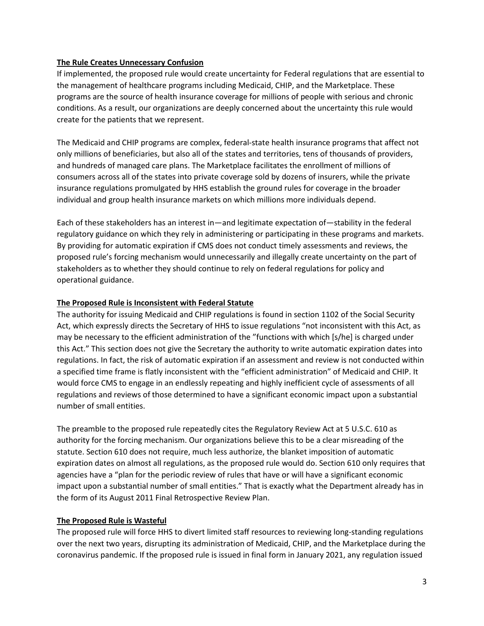### **The Rule Creates Unnecessary Confusion**

If implemented, the proposed rule would create uncertainty for Federal regulations that are essential to the management of healthcare programs including Medicaid, CHIP, and the Marketplace. These programs are the source of health insurance coverage for millions of people with serious and chronic conditions. As a result, our organizations are deeply concerned about the uncertainty this rule would create for the patients that we represent.

The Medicaid and CHIP programs are complex, federal-state health insurance programs that affect not only millions of beneficiaries, but also all of the states and territories, tens of thousands of providers, and hundreds of managed care plans. The Marketplace facilitates the enrollment of millions of consumers across all of the states into private coverage sold by dozens of insurers, while the private insurance regulations promulgated by HHS establish the ground rules for coverage in the broader individual and group health insurance markets on which millions more individuals depend.

Each of these stakeholders has an interest in—and legitimate expectation of—stability in the federal regulatory guidance on which they rely in administering or participating in these programs and markets. By providing for automatic expiration if CMS does not conduct timely assessments and reviews, the proposed rule's forcing mechanism would unnecessarily and illegally create uncertainty on the part of stakeholders as to whether they should continue to rely on federal regulations for policy and operational guidance.

### **The Proposed Rule is Inconsistent with Federal Statute**

The authority for issuing Medicaid and CHIP regulations is found in section 1102 of the Social Security Act, which expressly directs the Secretary of HHS to issue regulations "not inconsistent with this Act, as may be necessary to the efficient administration of the "functions with which [s/he] is charged under this Act." This section does not give the Secretary the authority to write automatic expiration dates into regulations. In fact, the risk of automatic expiration if an assessment and review is not conducted within a specified time frame is flatly inconsistent with the "efficient administration" of Medicaid and CHIP. It would force CMS to engage in an endlessly repeating and highly inefficient cycle of assessments of all regulations and reviews of those determined to have a significant economic impact upon a substantial number of small entities.

The preamble to the proposed rule repeatedly cites the Regulatory Review Act at 5 U.S.C. 610 as authority for the forcing mechanism. Our organizations believe this to be a clear misreading of the statute. Section 610 does not require, much less authorize, the blanket imposition of automatic expiration dates on almost all regulations, as the proposed rule would do. Section 610 only requires that agencies have a "plan for the periodic review of rules that have or will have a significant economic impact upon a substantial number of small entities." That is exactly what the Department already has in the form of its August 2011 Final Retrospective Review Plan.

## **The Proposed Rule is Wasteful**

The proposed rule will force HHS to divert limited staff resources to reviewing long-standing regulations over the next two years, disrupting its administration of Medicaid, CHIP, and the Marketplace during the coronavirus pandemic. If the proposed rule is issued in final form in January 2021, any regulation issued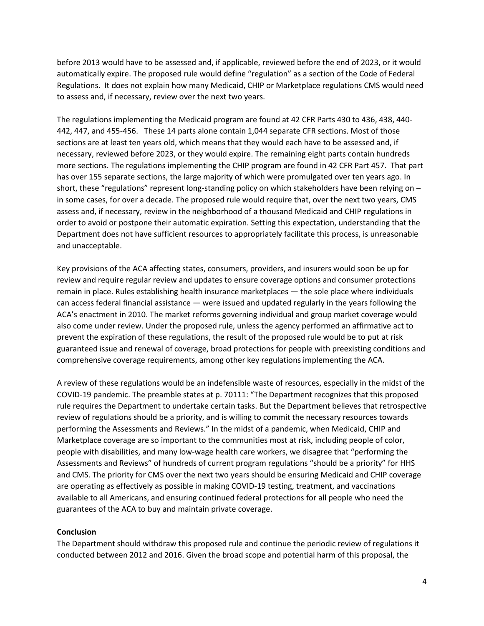before 2013 would have to be assessed and, if applicable, reviewed before the end of 2023, or it would automatically expire. The proposed rule would define "regulation" as a section of the Code of Federal Regulations. It does not explain how many Medicaid, CHIP or Marketplace regulations CMS would need to assess and, if necessary, review over the next two years.

The regulations implementing the Medicaid program are found at 42 CFR Parts 430 to 436, 438, 440- 442, 447, and 455-456. These 14 parts alone contain 1,044 separate CFR sections. Most of those sections are at least ten years old, which means that they would each have to be assessed and, if necessary, reviewed before 2023, or they would expire. The remaining eight parts contain hundreds more sections. The regulations implementing the CHIP program are found in 42 CFR Part 457. That part has over 155 separate sections, the large majority of which were promulgated over ten years ago. In short, these "regulations" represent long-standing policy on which stakeholders have been relying on – in some cases, for over a decade. The proposed rule would require that, over the next two years, CMS assess and, if necessary, review in the neighborhood of a thousand Medicaid and CHIP regulations in order to avoid or postpone their automatic expiration. Setting this expectation, understanding that the Department does not have sufficient resources to appropriately facilitate this process, is unreasonable and unacceptable.

Key provisions of the ACA affecting states, consumers, providers, and insurers would soon be up for review and require regular review and updates to ensure coverage options and consumer protections remain in place. Rules establishing health insurance marketplaces — the sole place where individuals can access federal financial assistance — were issued and updated regularly in the years following the ACA's enactment in 2010. The market reforms governing individual and group market coverage would also come under review. Under the proposed rule, unless the agency performed an affirmative act to prevent the expiration of these regulations, the result of the proposed rule would be to put at risk guaranteed issue and renewal of coverage, broad protections for people with preexisting conditions and comprehensive coverage requirements, among other key regulations implementing the ACA.

A review of these regulations would be an indefensible waste of resources, especially in the midst of the COVID-19 pandemic. The preamble states at p. 70111: "The Department recognizes that this proposed rule requires the Department to undertake certain tasks. But the Department believes that retrospective review of regulations should be a priority, and is willing to commit the necessary resources towards performing the Assessments and Reviews." In the midst of a pandemic, when Medicaid, CHIP and Marketplace coverage are so important to the communities most at risk, including people of color, people with disabilities, and many low-wage health care workers, we disagree that "performing the Assessments and Reviews" of hundreds of current program regulations "should be a priority" for HHS and CMS. The priority for CMS over the next two years should be ensuring Medicaid and CHIP coverage are operating as effectively as possible in making COVID-19 testing, treatment, and vaccinations available to all Americans, and ensuring continued federal protections for all people who need the guarantees of the ACA to buy and maintain private coverage.

#### **Conclusion**

The Department should withdraw this proposed rule and continue the periodic review of regulations it conducted between 2012 and 2016. Given the broad scope and potential harm of this proposal, the